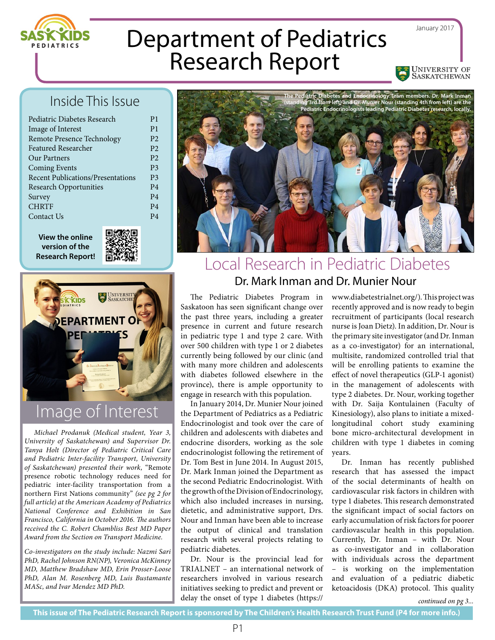

Department of Pediatrics Research Report

## Inside This Issue

| Pediatric Diabetes Research              | P <sub>1</sub> |
|------------------------------------------|----------------|
| Image of Interest                        | P <sub>1</sub> |
| Remote Presence Technology               | P <sub>2</sub> |
| <b>Featured Researcher</b>               | P <sub>2</sub> |
| Our Partners                             | P <sub>2</sub> |
| <b>Coming Events</b>                     | P <sub>3</sub> |
| <b>Recent Publications/Presentations</b> | P <sub>3</sub> |
| <b>Research Opportunities</b>            | P <sub>4</sub> |
| Survey                                   | P <sub>4</sub> |
| <b>CHRTF</b>                             | P <sub>4</sub> |
| Contact Us                               | P4             |
|                                          |                |

**View the online version of the Research Report!**





## Image of Interest

*Michael Prodanuk (Medical student, Year 3, University of Saskatchewan) and Supervisor Dr. Tanya Holt (Director of Pediatric Critical Care and Pediatric Inter-facility Transport, University of Saskatchewan) presented their work,* "Remote presence robotic technology reduces need for pediatric inter-facility transportation from a northern First Nations community" *(see pg 2 for full article) at the American Academy of Pediatrics National Conference and Exhibition in San Francisco, California in October 2016. The authors received the C. Robert Chambliss Best MD Paper Award from the Section on Transport Medicine.*

*Co-investigators on the study include: Nazmi Sari PhD, Rachel Johnson RN(NP), Veronica McKinney MD, Matthew Bradshaw MD, Erin Prosser-Loose PhD, Alan M. Rosenberg MD, Luis Bustamante MASc, and Ivar Mendez MD PhD.*



## Local Research in Pediatric Diabetes Dr. Mark Inman and Dr. Munier Nour

The Pediatric Diabetes Program in Saskatoon has seen significant change over the past three years, including a greater presence in current and future research in pediatric type 1 and type 2 care. With over 500 children with type 1 or 2 diabetes currently being followed by our clinic (and with many more children and adolescents with diabetes followed elsewhere in the province), there is ample opportunity to engage in research with this population.

In January 2014, Dr. Munier Nour joined the Department of Pediatrics as a Pediatric Endocrinologist and took over the care of children and adolescents with diabetes and endocrine disorders, working as the sole endocrinologist following the retirement of Dr. Tom Best in June 2014. In August 2015, Dr. Mark Inman joined the Department as the second Pediatric Endocrinologist. With the growth of the Division of Endocrinology, which also included increases in nursing, dietetic, and administrative support, Drs. Nour and Inman have been able to increase the output of clinical and translation research with several projects relating to pediatric diabetes.

Dr. Nour is the provincial lead for TRIALNET – an international network of researchers involved in various research initiatives seeking to predict and prevent or delay the onset of type 1 diabetes (https://

www.diabetestrialnet.org/). This project was recently approved and is now ready to begin recruitment of participants (local research nurse is Joan Dietz). In addition, Dr. Nour is the primary site investigator (and Dr. Inman as a co-investigator) for an international, multisite, randomized controlled trial that will be enrolling patients to examine the effect of novel therapeutics (GLP-1 agonist) in the management of adolescents with type 2 diabetes. Dr. Nour, working together with Dr. Saija Kontulainen (Faculty of Kinesiology), also plans to initiate a mixedlongitudinal cohort study examining bone micro-architectural development in children with type 1 diabetes in coming years.

January 2017

University of SASKATCHEWAN

Dr. Inman has recently published research that has assessed the impact of the social determinants of health on cardiovascular risk factors in children with type 1 diabetes. This research demonstrated the significant impact of social factors on early accumulation of risk factors for poorer cardiovascular health in this population. Currently, Dr. Inman – with Dr. Nour as co-investigator and in collaboration with individuals across the department – is working on the implementation and evaluation of a pediatric diabetic ketoacidosis (DKA) protocol. This quality

*continued on pg 3...*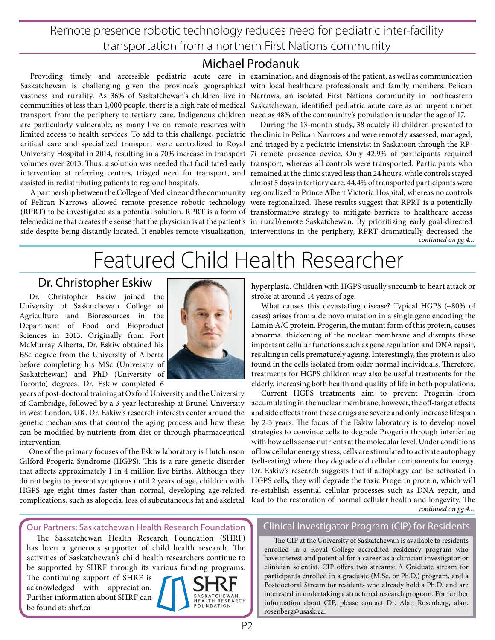Remote presence robotic technology reduces need for pediatric inter-facility transportation from a northern First Nations community

### Michael Prodanuk

Saskatchewan is challenging given the province's geographical with local healthcare professionals and family members. Pelican vastness and rurality. As 36% of Saskatchewan's children live in Narrows, an isolated First Nations community in northeastern communities of less than 1,000 people, there is a high rate of medical Saskatchewan, identified pediatric acute care as an urgent unmet transport from the periphery to tertiary care. Indigenous children need as 48% of the community's population is under the age of 17. are particularly vulnerable, as many live on remote reserves with limited access to health services. To add to this challenge, pediatric the clinic in Pelican Narrows and were remotely assessed, managed, critical care and specialized transport were centralized to Royal and triaged by a pediatric intensivist in Saskatoon through the RP-University Hospital in 2014, resulting in a 70% increase in transport 7i remote presence device. Only 42.9% of participants required volumes over 2013. Thus, a solution was needed that facilitated early transport, whereas all controls were transported. Participants who intervention at referring centres, triaged need for transport, and remained at the clinic stayed less than 24 hours, while controls stayed assisted in redistributing patients to regional hospitals.

of Pelican Narrows allowed remote presence robotic technology were regionalized. These results suggest that RPRT is a potentially (RPRT) to be investigated as a potential solution. RPRT is a form of transformative strategy to mitigate barriers to healthcare access telemedicine that creates the sense that the physician is at the patient's in rural/remote Saskatchewan. By prioritizing early goal-directed

Providing timely and accessible pediatric acute care in examination, and diagnosis of the patient, as well as communication

A partnership between the College of Medicine and the community regionalized to Prince Albert Victoria Hospital, whereas no controls side despite being distantly located. It enables remote visualization, interventions in the periphery, RPRT dramatically decreased the *continued on pg 4...* During the 13-month study, 38 acutely ill children presented to almost 5 days in tertiary care. 44.4% of transported participants were

# Featured Child Health Researcher

### Dr. Christopher Eskiw

Dr. Christopher Eskiw joined the University of Saskatchewan College of Agriculture and Bioresources in the Department of Food and Bioproduct Sciences in 2013. Originally from Fort McMurray Alberta, Dr. Eskiw obtained his BSc degree from the University of Alberta before completing his MSc (University of Saskatchewan) and PhD (University of Toronto) degrees. Dr. Eskiw completed 6



years of post-doctoral training at Oxford University and the University of Cambridge, followed by a 3-year lectureship at Brunel University in west London, UK. Dr. Eskiw's research interests center around the genetic mechanisms that control the aging process and how these can be modified by nutrients from diet or through pharmaceutical intervention.

One of the primary focuses of the Eskiw laboratory is Hutchinson Gilford Progeria Syndrome (HGPS). This is a rare genetic disorder that affects approximately 1 in 4 million live births. Although they do not begin to present symptoms until 2 years of age, children with HGPS age eight times faster than normal, developing age-related complications, such as alopecia, loss of subcutaneous fat and skeletal

hyperplasia. Children with HGPS usually succumb to heart attack or stroke at around 14 years of age.

What causes this devastating disease? Typical HGPS (~80% of cases) arises from a de novo mutation in a single gene encoding the Lamin A/C protein. Progerin, the mutant form of this protein, causes abnormal thickening of the nuclear membrane and disrupts these important cellular functions such as gene regulation and DNA repair, resulting in cells prematurely ageing. Interestingly, this protein is also found in the cells isolated from older normal individuals. Therefore, treatments for HGPS children may also be useful treatments for the elderly, increasing both health and quality of life in both populations.

Current HGPS treatments aim to prevent Progerin from accumulating in the nuclear membrane; however, the off-target effects and side effects from these drugs are severe and only increase lifespan by 2-3 years. The focus of the Eskiw laboratory is to develop novel strategies to convince cells to degrade Progerin through interfering with how cells sense nutrients at the molecular level. Under conditions of low cellular energy stress, cells are stimulated to activate autophagy (self-eating) where they degrade old cellular components for energy. Dr. Eskiw's research suggests that if autophagy can be activated in HGPS cells, they will degrade the toxic Progerin protein, which will re-establish essential cellular processes such as DNA repair, and lead to the restoration of normal cellular health and longevity. The *continued on pg 4...*

Our Partners: Saskatchewan Health Research Foundation The Saskatchewan Health Research Foundation (SHRF)

has been a generous supporter of child health research. The activities of Saskatchewan's child health researchers continue to be supported by SHRF through its various funding programs.

The continuing support of SHRF is acknowledged with appreciation. Further information about SHRF can be found at: shrf.ca



#### Clinical Investigator Program (CIP) for Residents

The CIP at the University of Saskatchewan is available to residents enrolled in a Royal College accredited residency program who have interest and potential for a career as a clinician investigator or clinician scientist. CIP offers two streams: A Graduate stream for participants enrolled in a graduate (M.Sc. or Ph.D.) program, and a Postdoctoral Stream for residents who already hold a Ph.D. and are interested in undertaking a structured research program. For further information about CIP, please contact Dr. Alan Rosenberg, alan. rosenberg@usask.ca.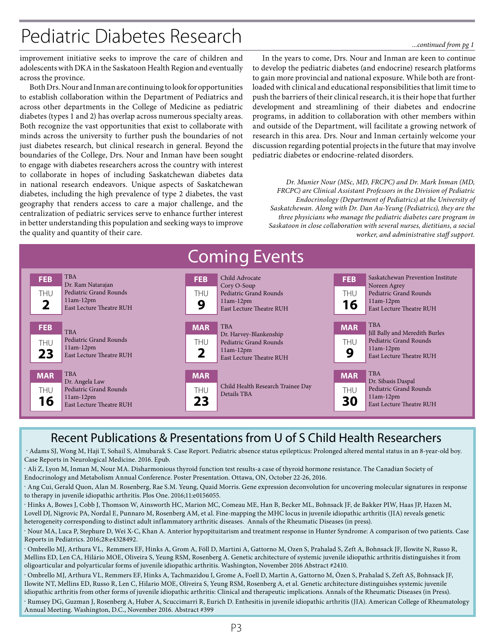## Pediatric Diabetes Research

#### *...continued from pg 1*

improvement initiative seeks to improve the care of children and adolescents with DKA in the Saskatoon Health Region and eventually across the province.

Both Drs. Nour and Inman are continuing to look for opportunities to establish collaboration within the Department of Pediatrics and across other departments in the College of Medicine as pediatric diabetes (types 1 and 2) has overlap across numerous specialty areas. Both recognize the vast opportunities that exist to collaborate with minds across the university to further push the boundaries of not just diabetes research, but clinical research in general. Beyond the boundaries of the College, Drs. Nour and Inman have been sought to engage with diabetes researchers across the country with interest to collaborate in hopes of including Saskatchewan diabetes data in national research endeavors. Unique aspects of Saskatchewan diabetes, including the high prevalence of type 2 diabetes, the vast geography that renders access to care a major challenge, and the centralization of pediatric services serve to enhance further interest in better understanding this population and seeking ways to improve the quality and quantity of their care.

In the years to come, Drs. Nour and Inman are keen to continue to develop the pediatric diabetes (and endocrine) research platforms to gain more provincial and national exposure. While both are frontloaded with clinical and educational responsibilities that limit time to push the barriers of their clinical research, it is their hope that further development and streamlining of their diabetes and endocrine programs, in addition to collaboration with other members within and outside of the Department, will facilitate a growing network of research in this area. Drs. Nour and Inman certainly welcome your discussion regarding potential projects in the future that may involve pediatric diabetes or endocrine-related disorders.

*Dr. Munier Nour (MSc, MD, FRCPC) and Dr. Mark Inman (MD, FRCPC) are Clinical Assistant Professors in the Division of Pediatric Endocrinology (Department of Pediatrics) at the University of Saskatchewan. Along with Dr. Dan Au-Yeung (Pediatrics), they are the three physicians who manage the pediatric diabetes care program in Saskatoon in close collaboration with several nurses, dietitians, a social worker, and administrative staff support.*

| <b>Coming Events</b>           |                                                                                                      |                         |                                                                                                           |                         |                                                                                                                        |  |  |
|--------------------------------|------------------------------------------------------------------------------------------------------|-------------------------|-----------------------------------------------------------------------------------------------------------|-------------------------|------------------------------------------------------------------------------------------------------------------------|--|--|
| <b>FEB</b><br><b>THU</b>       | <b>TBA</b><br>Dr. Ram Natarajan<br>Pediatric Grand Rounds<br>$11am-12pm$<br>East Lecture Theatre RUH | <b>FEB</b><br>THU<br>9  | Child Advocate<br>Cory O-Soup<br>Pediatric Grand Rounds<br>$11am-12pm$<br>East Lecture Theatre RUH        | <b>FEB</b><br>THU<br>16 | Saskatchewan Prevention Institute<br>Noreen Agrey<br>Pediatric Grand Rounds<br>$11am-12pm$<br>East Lecture Theatre RUH |  |  |
| <b>FEB</b><br>THU<br>23        | <b>TBA</b><br>Pediatric Grand Rounds<br>$11am-12pm$<br>East Lecture Theatre RUH                      | <b>MAR</b><br>THU<br>2  | <b>TBA</b><br>Dr. Harvey-Blankenship<br>Pediatric Grand Rounds<br>$11am-12pm$<br>East Lecture Theatre RUH | <b>MAR</b><br>THU<br>9  | <b>TBA</b><br>Jill Bally and Meredith Burles<br>Pediatric Grand Rounds<br>$11am-12pm$<br>East Lecture Theatre RUH      |  |  |
| <b>MAR</b><br><b>THU</b><br>16 | <b>TBA</b><br>Dr. Angela Law<br>Pediatric Grand Rounds<br>$11am-12pm$<br>East Lecture Theatre RUH    | <b>MAR</b><br>THU<br>23 | Child Health Research Trainee Day<br>Details TBA                                                          | <b>MAR</b><br>THU<br>30 | <b>TBA</b><br>Dr. Sibasis Daspal<br>Pediatric Grand Rounds<br>$11am-12pm$<br>East Lecture Theatre RUH                  |  |  |

## Recent Publications & Presentations from U of S Child Health Researchers

 . Adams SJ, Wong M, Haji T, Sohail S, Almubarak S. Case Report. Pediatric absence status epilepticus: Prolonged altered mental status in an 8-year-old boy. Case Reports in Neurological Medicine. 2016. Epub.

. Ali Z, Lyon M, Inman M, Nour MA. Disharmonious thyroid function test results-a case of thyroid hormone resistance. The Canadian Society of Endocrinology and Metabolism Annual Conference. Poster Presentation. Ottawa, ON, October 22-26, 2016.

. Ang Cui, Gerald Quon, Alan M. Rosenberg, Rae S.M. Yeung, Quaid Morris. Gene expression deconvolution for uncovering molecular signatures in response to therapy in juvenile idiopathic arthritis. Plos One. 2016;11:e0156055.

. Hinks A, Bowes J, Cobb J, Thomson W, Ainsworth HC, Marion MC, Comeau ME, Han B, Becker ML, Bohnsack JF, de Bakker PIW, Haas JP, Hazen M, Lovell DJ, Nigrovic PA, Nordal E, Punnaro M, Rosenberg AM, et al. Fine-mapping the MHC locus in juvenile idiopathic arthritis (JIA) reveals genetic heterogeneity corresponding to distinct adult inflammatory arthritic diseases. Annals of the Rheumatic Diseases (in press).

. Nour MA, Luca P, Stephure D, Wei X-C, Khan A. Anterior hypopituitarism and treatment response in Hunter Syndrome: A comparison of two patients. Case Reports in Pediatrics. 2016;28:e4328492.

. Ombrello MJ, Arthura VL, Remmers EF, Hinks A, Grom A, Föll D, Martini A, Gattorno M, Ozen S, Prahalad S, Zeft A, Bohnsack JF, Ilowite N, Russo R, Mellins ED, Len CA, Hilário MOE, Oliveira S, Yeung RSM, Rosenberg A. Genetic architecture of systemic juvenile idiopathic arthritis distinguishes it from oligoarticular and polyarticular forms of juvenile idiopathic arthritis. Washington, November 2016 Abstract #2410.

. Ombrello MJ, Arthura VL, Remmers EF, Hinks A, Tachmazidou I, Grome A, Foell D, Martin A, Gattorno M, Özen S, Prahalad S, Zeft AS, Bohnsack JF, Ilowite NT, Mellins ED, Russo R, Len C, Hilario MOE, Oliveira S, Yeung RSM, Rosenberg A, et al. Genetic architecture distinguishes systemic juvenile idiopathic arthritis from other forms of juvenile idiopathic arthritis: Clinical and therapeutic implications. Annals of the Rheumatic Diseases (in Press).

. Rumsey DG, Guzman J, Rosenberg A, Huber A, Scuccimarri R, Eurich D. Enthesitis in juvenile idiopathic arthritis (JIA). American College of Rheumatology Annual Meeting. Washington, D.C., November 2016. Abstract #399